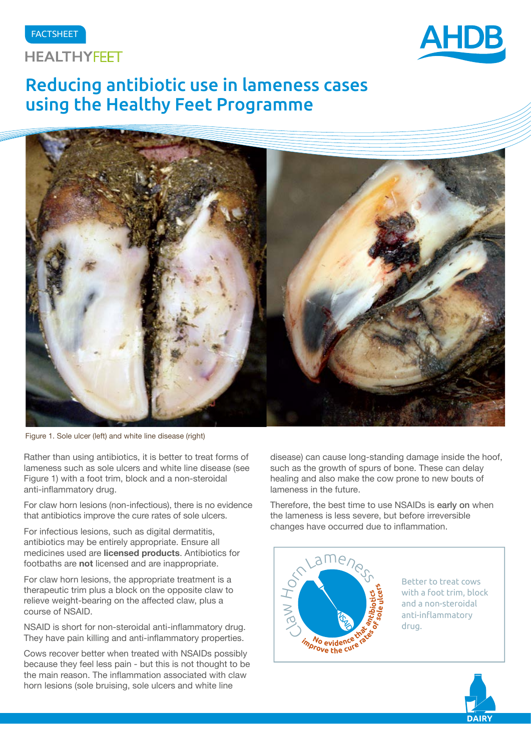#### FACTSHEET





# Reducing antibiotic use in lameness cases using the Healthy Feet Programme



Figure 1. Sole ulcer (left) and white line disease (right)

Rather than using antibiotics, it is better to treat forms of lameness such as sole ulcers and white line disease (see Figure 1) with a foot trim, block and a non-steroidal anti-inflammatory drug.

For claw horn lesions (non-infectious), there is no evidence that antibiotics improve the cure rates of sole ulcers.

For infectious lesions, such as digital dermatitis, antibiotics may be entirely appropriate. Ensure all medicines used are **licensed products**. Antibiotics for footbaths are **not** licensed and are inappropriate.

For claw horn lesions, the appropriate treatment is a therapeutic trim plus a block on the opposite claw to relieve weight-bearing on the affected claw, plus a course of NSAID.

NSAID is short for non-steroidal anti-inflammatory drug. They have pain killing and anti-inflammatory properties.

Cows recover better when treated with NSAIDs possibly because they feel less pain - but this is not thought to be the main reason. The inflammation associated with claw horn lesions (sole bruising, sole ulcers and white line

disease) can cause long-standing damage inside the hoof, such as the growth of spurs of bone. These can delay healing and also make the cow prone to new bouts of lameness in the future.

Therefore, the best time to use NSAIDs is early on when the lameness is less severe, but before irreversible changes have occurred due to inflammation.



Better to treat cows with a foot trim, block and a non-steroidal anti-inflammatory drug.